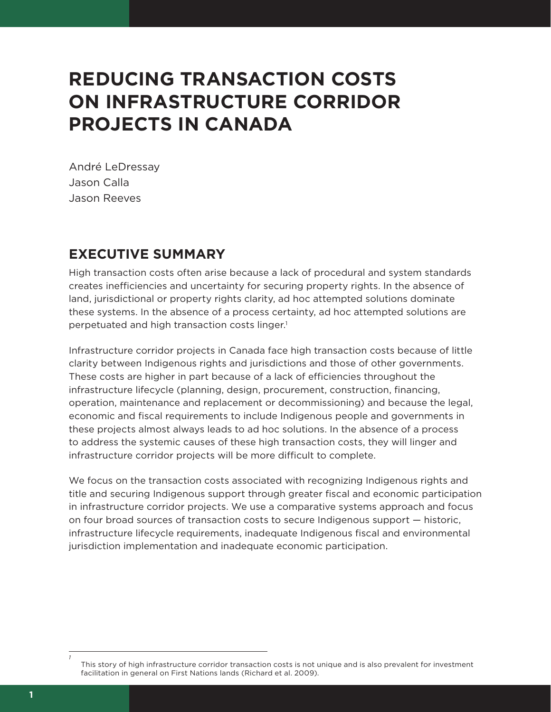## **REDUCING TRANSACTION COSTS ON INFRASTRUCTURE CORRIDOR PROJECTS IN CANADA**

André LeDressay Jason Calla Jason Reeves

## **EXECUTIVE SUMMARY**

High transaction costs often arise because a lack of procedural and system standards creates inefficiencies and uncertainty for securing property rights. In the absence of land, jurisdictional or property rights clarity, ad hoc attempted solutions dominate these systems. In the absence of a process certainty, ad hoc attempted solutions are perpetuated and high transaction costs linger.<sup>1</sup>

Infrastructure corridor projects in Canada face high transaction costs because of little clarity between Indigenous rights and jurisdictions and those of other governments. These costs are higher in part because of a lack of efficiencies throughout the infrastructure lifecycle (planning, design, procurement, construction, financing, operation, maintenance and replacement or decommissioning) and because the legal, economic and fiscal requirements to include Indigenous people and governments in these projects almost always leads to ad hoc solutions. In the absence of a process to address the systemic causes of these high transaction costs, they will linger and infrastructure corridor projects will be more difficult to complete.

We focus on the transaction costs associated with recognizing Indigenous rights and title and securing Indigenous support through greater fiscal and economic participation in infrastructure corridor projects. We use a comparative systems approach and focus on four broad sources of transaction costs to secure Indigenous support — historic, infrastructure lifecycle requirements, inadequate Indigenous fiscal and environmental jurisdiction implementation and inadequate economic participation.

*1*

This story of high infrastructure corridor transaction costs is not unique and is also prevalent for investment facilitation in general on First Nations lands (Richard et al. 2009).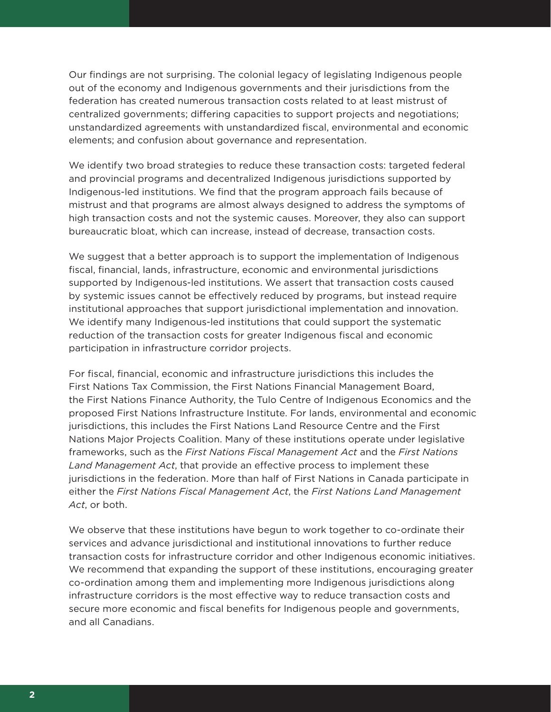Our findings are not surprising. The colonial legacy of legislating Indigenous people out of the economy and Indigenous governments and their jurisdictions from the federation has created numerous transaction costs related to at least mistrust of centralized governments; differing capacities to support projects and negotiations; unstandardized agreements with unstandardized fiscal, environmental and economic elements; and confusion about governance and representation.

We identify two broad strategies to reduce these transaction costs: targeted federal and provincial programs and decentralized Indigenous jurisdictions supported by Indigenous-led institutions. We find that the program approach fails because of mistrust and that programs are almost always designed to address the symptoms of high transaction costs and not the systemic causes. Moreover, they also can support bureaucratic bloat, which can increase, instead of decrease, transaction costs.

We suggest that a better approach is to support the implementation of Indigenous fiscal, financial, lands, infrastructure, economic and environmental jurisdictions supported by Indigenous-led institutions. We assert that transaction costs caused by systemic issues cannot be effectively reduced by programs, but instead require institutional approaches that support jurisdictional implementation and innovation. We identify many Indigenous-led institutions that could support the systematic reduction of the transaction costs for greater Indigenous fiscal and economic participation in infrastructure corridor projects.

For fiscal, financial, economic and infrastructure jurisdictions this includes the First Nations Tax Commission, the First Nations Financial Management Board, the First Nations Finance Authority, the Tulo Centre of Indigenous Economics and the proposed First Nations Infrastructure Institute. For lands, environmental and economic jurisdictions, this includes the First Nations Land Resource Centre and the First Nations Major Projects Coalition. Many of these institutions operate under legislative frameworks, such as the *First Nations Fiscal Management Act* and the *First Nations Land Management Act*, that provide an effective process to implement these jurisdictions in the federation. More than half of First Nations in Canada participate in either the *First Nations Fiscal Management Act*, the *First Nations Land Management Act*, or both.

We observe that these institutions have begun to work together to co-ordinate their services and advance jurisdictional and institutional innovations to further reduce transaction costs for infrastructure corridor and other Indigenous economic initiatives. We recommend that expanding the support of these institutions, encouraging greater co-ordination among them and implementing more Indigenous jurisdictions along infrastructure corridors is the most effective way to reduce transaction costs and secure more economic and fiscal benefits for Indigenous people and governments, and all Canadians.